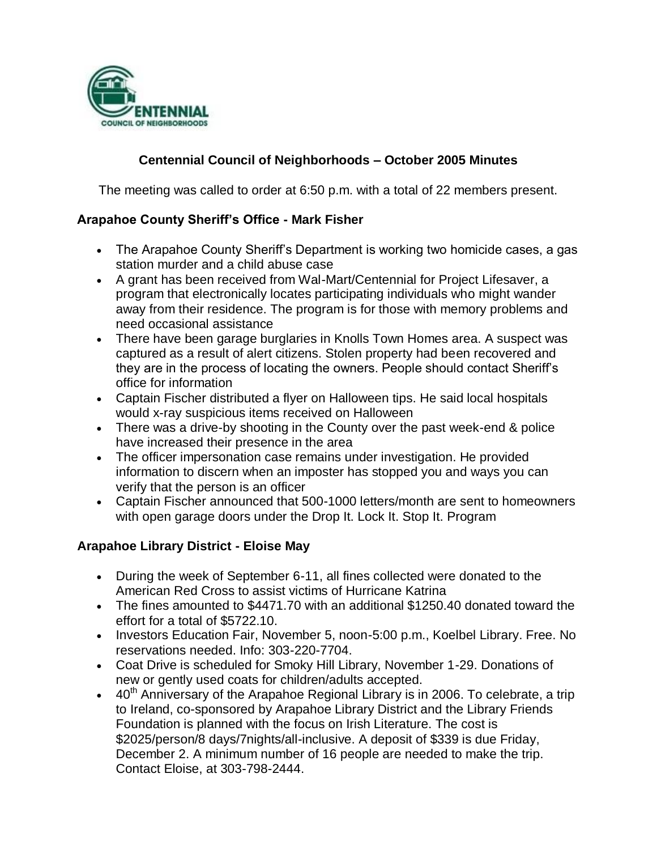

# **Centennial Council of Neighborhoods – October 2005 Minutes**

The meeting was called to order at 6:50 p.m. with a total of 22 members present.

#### **Arapahoe County Sheriff's Office - Mark Fisher**

- The Arapahoe County Sheriff's Department is working two homicide cases, a gas station murder and a child abuse case
- A grant has been received from Wal-Mart/Centennial for Project Lifesaver, a program that electronically locates participating individuals who might wander away from their residence. The program is for those with memory problems and need occasional assistance
- There have been garage burglaries in Knolls Town Homes area. A suspect was captured as a result of alert citizens. Stolen property had been recovered and they are in the process of locating the owners. People should contact Sheriff's office for information
- Captain Fischer distributed a flyer on Halloween tips. He said local hospitals would x-ray suspicious items received on Halloween
- There was a drive-by shooting in the County over the past week-end & police have increased their presence in the area
- The officer impersonation case remains under investigation. He provided information to discern when an imposter has stopped you and ways you can verify that the person is an officer
- Captain Fischer announced that 500-1000 letters/month are sent to homeowners with open garage doors under the Drop It. Lock It. Stop It. Program

### **Arapahoe Library District - Eloise May**

- During the week of September 6-11, all fines collected were donated to the American Red Cross to assist victims of Hurricane Katrina
- The fines amounted to \$4471.70 with an additional \$1250.40 donated toward the effort for a total of \$5722.10.
- Investors Education Fair, November 5, noon-5:00 p.m., Koelbel Library. Free. No reservations needed. Info: 303-220-7704.
- Coat Drive is scheduled for Smoky Hill Library, November 1-29. Donations of new or gently used coats for children/adults accepted.
- $\bullet$  40<sup>th</sup> Anniversary of the Arapahoe Regional Library is in 2006. To celebrate, a trip to Ireland, co-sponsored by Arapahoe Library District and the Library Friends Foundation is planned with the focus on Irish Literature. The cost is \$2025/person/8 days/7nights/all-inclusive. A deposit of \$339 is due Friday, December 2. A minimum number of 16 people are needed to make the trip. Contact Eloise, at 303-798-2444.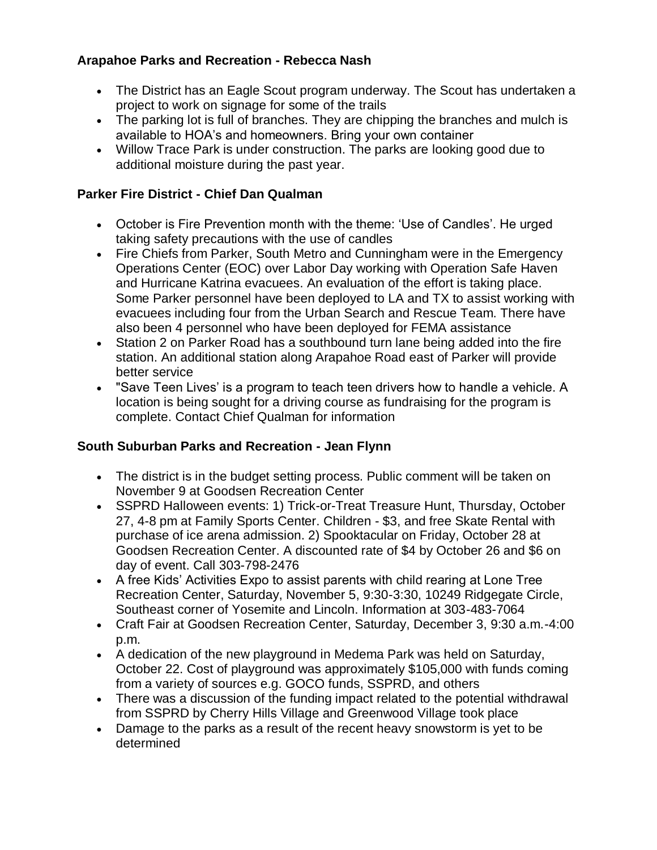## **Arapahoe Parks and Recreation - Rebecca Nash**

- The District has an Eagle Scout program underway. The Scout has undertaken a project to work on signage for some of the trails
- The parking lot is full of branches. They are chipping the branches and mulch is available to HOA's and homeowners. Bring your own container
- Willow Trace Park is under construction. The parks are looking good due to additional moisture during the past year.

# **Parker Fire District - Chief Dan Qualman**

- October is Fire Prevention month with the theme: 'Use of Candles'. He urged taking safety precautions with the use of candles
- Fire Chiefs from Parker, South Metro and Cunningham were in the Emergency Operations Center (EOC) over Labor Day working with Operation Safe Haven and Hurricane Katrina evacuees. An evaluation of the effort is taking place. Some Parker personnel have been deployed to LA and TX to assist working with evacuees including four from the Urban Search and Rescue Team. There have also been 4 personnel who have been deployed for FEMA assistance
- Station 2 on Parker Road has a southbound turn lane being added into the fire station. An additional station along Arapahoe Road east of Parker will provide better service
- "Save Teen Lives' is a program to teach teen drivers how to handle a vehicle. A location is being sought for a driving course as fundraising for the program is complete. Contact Chief Qualman for information

### **South Suburban Parks and Recreation - Jean Flynn**

- The district is in the budget setting process. Public comment will be taken on November 9 at Goodsen Recreation Center
- SSPRD Halloween events: 1) Trick-or-Treat Treasure Hunt, Thursday, October 27, 4-8 pm at Family Sports Center. Children - \$3, and free Skate Rental with purchase of ice arena admission. 2) Spooktacular on Friday, October 28 at Goodsen Recreation Center. A discounted rate of \$4 by October 26 and \$6 on day of event. Call 303-798-2476
- A free Kids' Activities Expo to assist parents with child rearing at Lone Tree Recreation Center, Saturday, November 5, 9:30-3:30, 10249 Ridgegate Circle, Southeast corner of Yosemite and Lincoln. Information at 303-483-7064
- Craft Fair at Goodsen Recreation Center, Saturday, December 3, 9:30 a.m.-4:00 p.m.
- A dedication of the new playground in Medema Park was held on Saturday, October 22. Cost of playground was approximately \$105,000 with funds coming from a variety of sources e.g. GOCO funds, SSPRD, and others
- There was a discussion of the funding impact related to the potential withdrawal from SSPRD by Cherry Hills Village and Greenwood Village took place
- Damage to the parks as a result of the recent heavy snowstorm is yet to be determined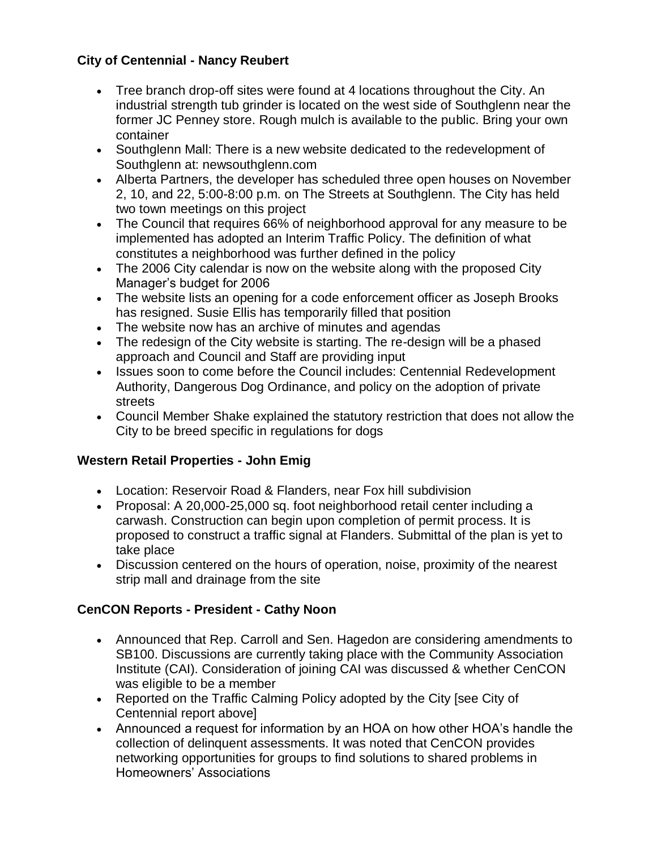# **City of Centennial - Nancy Reubert**

- Tree branch drop-off sites were found at 4 locations throughout the City. An industrial strength tub grinder is located on the west side of Southglenn near the former JC Penney store. Rough mulch is available to the public. Bring your own container
- Southglenn Mall: There is a new website dedicated to the redevelopment of Southglenn at: newsouthglenn.com
- Alberta Partners, the developer has scheduled three open houses on November 2, 10, and 22, 5:00-8:00 p.m. on The Streets at Southglenn. The City has held two town meetings on this project
- The Council that requires 66% of neighborhood approval for any measure to be implemented has adopted an Interim Traffic Policy. The definition of what constitutes a neighborhood was further defined in the policy
- The 2006 City calendar is now on the website along with the proposed City Manager's budget for 2006
- The website lists an opening for a code enforcement officer as Joseph Brooks has resigned. Susie Ellis has temporarily filled that position
- The website now has an archive of minutes and agendas
- The redesign of the City website is starting. The re-design will be a phased approach and Council and Staff are providing input
- Issues soon to come before the Council includes: Centennial Redevelopment Authority, Dangerous Dog Ordinance, and policy on the adoption of private streets
- Council Member Shake explained the statutory restriction that does not allow the City to be breed specific in regulations for dogs

# **Western Retail Properties - John Emig**

- Location: Reservoir Road & Flanders, near Fox hill subdivision
- Proposal: A 20,000-25,000 sq. foot neighborhood retail center including a carwash. Construction can begin upon completion of permit process. It is proposed to construct a traffic signal at Flanders. Submittal of the plan is yet to take place
- Discussion centered on the hours of operation, noise, proximity of the nearest strip mall and drainage from the site

# **CenCON Reports - President - Cathy Noon**

- Announced that Rep. Carroll and Sen. Hagedon are considering amendments to SB100. Discussions are currently taking place with the Community Association Institute (CAI). Consideration of joining CAI was discussed & whether CenCON was eligible to be a member
- Reported on the Traffic Calming Policy adopted by the City [see City of Centennial report above]
- Announced a request for information by an HOA on how other HOA's handle the collection of delinquent assessments. It was noted that CenCON provides networking opportunities for groups to find solutions to shared problems in Homeowners' Associations